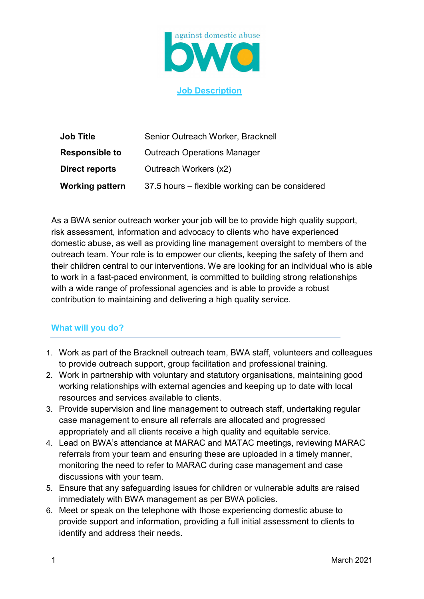

## **Job Description**

| <b>Job Title</b>       | Senior Outreach Worker, Bracknell               |
|------------------------|-------------------------------------------------|
| <b>Responsible to</b>  | <b>Outreach Operations Manager</b>              |
| Direct reports         | Outreach Workers (x2)                           |
| <b>Working pattern</b> | 37.5 hours – flexible working can be considered |

As a BWA senior outreach worker your job will be to provide high quality support, risk assessment, information and advocacy to clients who have experienced domestic abuse, as well as providing line management oversight to members of the outreach team. Your role is to empower our clients, keeping the safety of them and their children central to our interventions. We are looking for an individual who is able to work in a fast-paced environment, is committed to building strong relationships with a wide range of professional agencies and is able to provide a robust contribution to maintaining and delivering a high quality service.

## **What will you do?**

- 1. Work as part of the Bracknell outreach team, BWA staff, volunteers and colleagues to provide outreach support, group facilitation and professional training.
- 2. Work in partnership with voluntary and statutory organisations, maintaining good working relationships with external agencies and keeping up to date with local resources and services available to clients.
- 3. Provide supervision and line management to outreach staff, undertaking regular case management to ensure all referrals are allocated and progressed appropriately and all clients receive a high quality and equitable service.
- 4. Lead on BWA's attendance at MARAC and MATAC meetings, reviewing MARAC referrals from your team and ensuring these are uploaded in a timely manner, monitoring the need to refer to MARAC during case management and case discussions with your team.
- 5. Ensure that any safeguarding issues for children or vulnerable adults are raised immediately with BWA management as per BWA policies.
- 6. Meet or speak on the telephone with those experiencing domestic abuse to provide support and information, providing a full initial assessment to clients to identify and address their needs.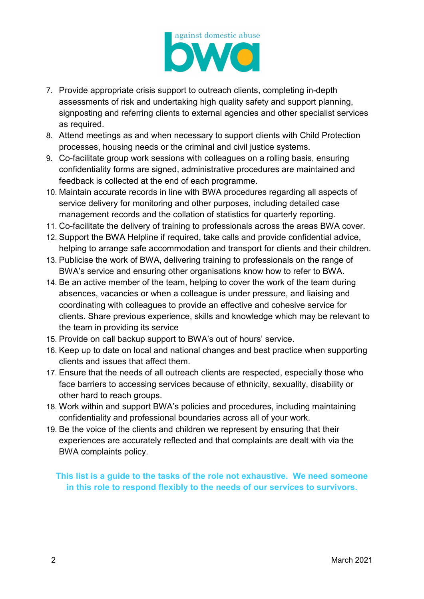

- 7. Provide appropriate crisis support to outreach clients, completing in-depth assessments of risk and undertaking high quality safety and support planning, signposting and referring clients to external agencies and other specialist services as required.
- 8. Attend meetings as and when necessary to support clients with Child Protection processes, housing needs or the criminal and civil justice systems.
- 9. Co-facilitate group work sessions with colleagues on a rolling basis, ensuring confidentiality forms are signed, administrative procedures are maintained and feedback is collected at the end of each programme.
- 10. Maintain accurate records in line with BWA procedures regarding all aspects of service delivery for monitoring and other purposes, including detailed case management records and the collation of statistics for quarterly reporting.
- 11. Co-facilitate the delivery of training to professionals across the areas BWA cover.
- 12. Support the BWA Helpline if required, take calls and provide confidential advice, helping to arrange safe accommodation and transport for clients and their children.
- 13. Publicise the work of BWA, delivering training to professionals on the range of BWA's service and ensuring other organisations know how to refer to BWA.
- 14. Be an active member of the team, helping to cover the work of the team during absences, vacancies or when a colleague is under pressure, and liaising and coordinating with colleagues to provide an effective and cohesive service for clients. Share previous experience, skills and knowledge which may be relevant to the team in providing its service
- 15. Provide on call backup support to BWA's out of hours' service.
- 16. Keep up to date on local and national changes and best practice when supporting clients and issues that affect them.
- 17. Ensure that the needs of all outreach clients are respected, especially those who face barriers to accessing services because of ethnicity, sexuality, disability or other hard to reach groups.
- 18. Work within and support BWA's policies and procedures, including maintaining confidentiality and professional boundaries across all of your work.
- 19. Be the voice of the clients and children we represent by ensuring that their experiences are accurately reflected and that complaints are dealt with via the BWA complaints policy.

**This list is a guide to the tasks of the role not exhaustive. We need someone in this role to respond flexibly to the needs of our services to survivors.**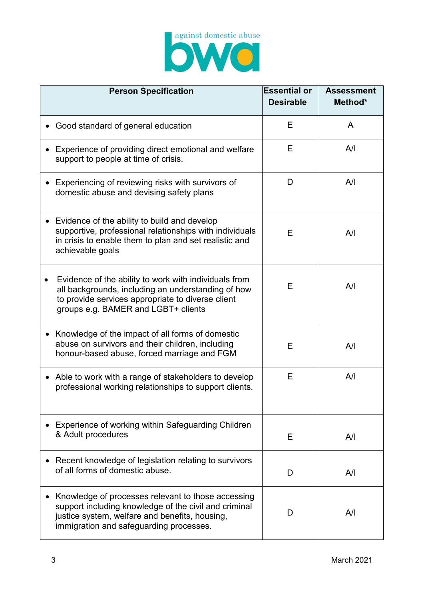

| <b>Person Specification</b>                                                                                                                                                                              | <b>Essential or</b><br><b>Desirable</b> | <b>Assessment</b><br>Method* |
|----------------------------------------------------------------------------------------------------------------------------------------------------------------------------------------------------------|-----------------------------------------|------------------------------|
| Good standard of general education                                                                                                                                                                       | Е                                       | A                            |
| Experience of providing direct emotional and welfare<br>support to people at time of crisis.                                                                                                             | Е                                       | A/I                          |
| Experiencing of reviewing risks with survivors of<br>domestic abuse and devising safety plans                                                                                                            | D                                       | A/I                          |
| Evidence of the ability to build and develop<br>supportive, professional relationships with individuals<br>in crisis to enable them to plan and set realistic and<br>achievable goals                    | Е                                       | A/I                          |
| Evidence of the ability to work with individuals from<br>all backgrounds, including an understanding of how<br>to provide services appropriate to diverse client<br>groups e.g. BAMER and LGBT+ clients  | Е                                       | A/I                          |
| Knowledge of the impact of all forms of domestic<br>abuse on survivors and their children, including<br>honour-based abuse, forced marriage and FGM                                                      | Е                                       | A/I                          |
| Able to work with a range of stakeholders to develop<br>$\bullet$<br>professional working relationships to support clients.                                                                              | Е                                       | A/I                          |
| Experience of working within Safeguarding Children<br>& Adult procedures                                                                                                                                 | Е                                       | A/I                          |
| Recent knowledge of legislation relating to survivors<br>of all forms of domestic abuse.                                                                                                                 | D                                       | A/I                          |
| Knowledge of processes relevant to those accessing<br>support including knowledge of the civil and criminal<br>justice system, welfare and benefits, housing,<br>immigration and safeguarding processes. | D                                       | A/I                          |